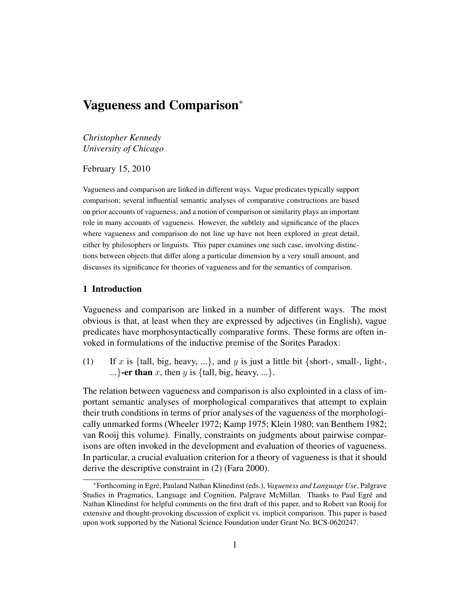# Vagueness and Comparison<sup>∗</sup>

*Christopher Kennedy University of Chicago*

February 15, 2010

Vagueness and comparison are linked in different ways. Vague predicates typically support comparison; several influential semantic analyses of comparative constructions are based on prior accounts of vagueness; and a notion of comparison or similarity plays an important role in many accounts of vagueness. However, the subtlety and significance of the places where vagueness and comparison do not line up have not been explored in great detail, either by philosophers or linguists. This paper examines one such case, involving distinctions between objects that differ along a particular dimension by a very small amount, and discusses its significance for theories of vagueness and for the semantics of comparison.

#### 1 Introduction

Vagueness and comparison are linked in a number of different ways. The most obvious is that, at least when they are expressed by adjectives (in English), vague predicates have morphosyntactically comparative forms. These forms are often invoked in formulations of the inductive premise of the Sorites Paradox:

(1) If x is {tall, big, heavy, ...}, and y is just a little bit {short-, small-, light-, ...}-er than x, then y is {tall, big, heavy, ...}.

The relation between vagueness and comparison is also explointed in a class of important semantic analyses of morphological comparatives that attempt to explain their truth conditions in terms of prior analyses of the vagueness of the morphologically unmarked forms (Wheeler 1972; Kamp 1975; Klein 1980; van Benthem 1982; van Rooij this volume). Finally, constraints on judgments about pairwise comparisons are often invoked in the development and evaluation of theories of vagueness. In particular, a crucial evaluation criterion for a theory of vagueness is that it should derive the descriptive constraint in (2) (Fara 2000).

<sup>∗</sup>Forthcoming in Egre, Pauland Nathan Klinedinst (eds.), ´ *Vagueness and Language Use*, Palgrave Studies in Pragmatics, Language and Cognition, Palgrave McMillan. Thanks to Paul Egre and ´ Nathan Klinedinst for helpful comments on the first draft of this paper, and to Robert van Rooij for extensive and thought-provoking discussion of explicit vs. implicit comparison. This paper is based upon work supported by the National Science Foundation under Grant No. BCS-0620247.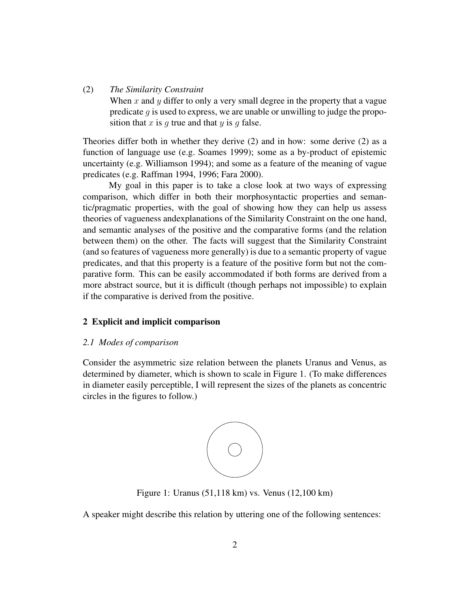(2) *The Similarity Constraint*

When  $x$  and  $y$  differ to only a very small degree in the property that a vague predicate  $q$  is used to express, we are unable or unwilling to judge the proposition that x is q true and that  $y$  is q false.

Theories differ both in whether they derive (2) and in how: some derive (2) as a function of language use (e.g. Soames 1999); some as a by-product of epistemic uncertainty (e.g. Williamson 1994); and some as a feature of the meaning of vague predicates (e.g. Raffman 1994, 1996; Fara 2000).

My goal in this paper is to take a close look at two ways of expressing comparison, which differ in both their morphosyntactic properties and semantic/pragmatic properties, with the goal of showing how they can help us assess theories of vagueness andexplanations of the Similarity Constraint on the one hand, and semantic analyses of the positive and the comparative forms (and the relation between them) on the other. The facts will suggest that the Similarity Constraint (and so features of vagueness more generally) is due to a semantic property of vague predicates, and that this property is a feature of the positive form but not the comparative form. This can be easily accommodated if both forms are derived from a more abstract source, but it is difficult (though perhaps not impossible) to explain if the comparative is derived from the positive.

# 2 Explicit and implicit comparison

### *2.1 Modes of comparison*

Consider the asymmetric size relation between the planets Uranus and Venus, as determined by diameter, which is shown to scale in Figure 1. (To make differences in diameter easily perceptible, I will represent the sizes of the planets as concentric circles in the figures to follow.)



Figure 1: Uranus (51,118 km) vs. Venus (12,100 km)

A speaker might describe this relation by uttering one of the following sentences: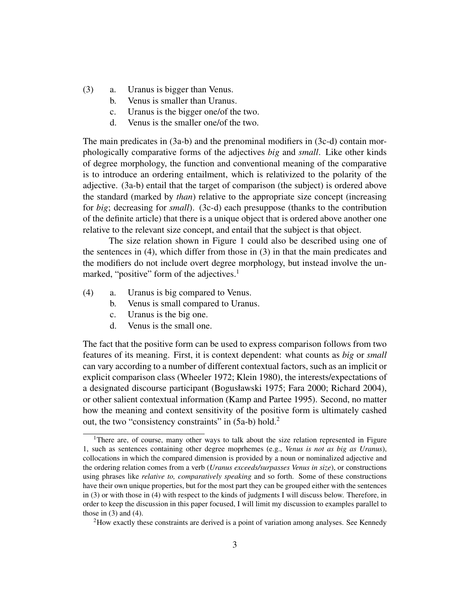- (3) a. Uranus is bigger than Venus.
	- b. Venus is smaller than Uranus.
	- c. Uranus is the bigger one/of the two.
	- d. Venus is the smaller one/of the two.

The main predicates in (3a-b) and the prenominal modifiers in (3c-d) contain morphologically comparative forms of the adjectives *big* and *small*. Like other kinds of degree morphology, the function and conventional meaning of the comparative is to introduce an ordering entailment, which is relativized to the polarity of the adjective. (3a-b) entail that the target of comparison (the subject) is ordered above the standard (marked by *than*) relative to the appropriate size concept (increasing for *big*; decreasing for *small*). (3c-d) each presuppose (thanks to the contribution of the definite article) that there is a unique object that is ordered above another one relative to the relevant size concept, and entail that the subject is that object.

The size relation shown in Figure 1 could also be described using one of the sentences in (4), which differ from those in (3) in that the main predicates and the modifiers do not include overt degree morphology, but instead involve the unmarked, "positive" form of the adjectives. $<sup>1</sup>$ </sup>

- (4) a. Uranus is big compared to Venus.
	- b. Venus is small compared to Uranus.
	- c. Uranus is the big one.
	- d. Venus is the small one.

The fact that the positive form can be used to express comparison follows from two features of its meaning. First, it is context dependent: what counts as *big* or *small* can vary according to a number of different contextual factors, such as an implicit or explicit comparison class (Wheeler 1972; Klein 1980), the interests/expectations of a designated discourse participant (Bogusławski 1975; Fara 2000; Richard 2004), or other salient contextual information (Kamp and Partee 1995). Second, no matter how the meaning and context sensitivity of the positive form is ultimately cashed out, the two "consistency constraints" in  $(5a-b)$  hold.<sup>2</sup>

<sup>&</sup>lt;sup>1</sup>There are, of course, many other ways to talk about the size relation represented in Figure 1, such as sentences containing other degree moprhemes (e.g., *Venus is not as big as Uranus*), collocations in which the compared dimension is provided by a noun or nominalized adjective and the ordering relation comes from a verb (*Uranus exceeds/surpasses Venus in size*), or constructions using phrases like *relative to, comparatively speaking* and so forth. Some of these constructions have their own unique properties, but for the most part they can be grouped either with the sentences in (3) or with those in (4) with respect to the kinds of judgments I will discuss below. Therefore, in order to keep the discussion in this paper focused, I will limit my discussion to examples parallel to those in  $(3)$  and  $(4)$ .

<sup>&</sup>lt;sup>2</sup>How exactly these constraints are derived is a point of variation among analyses. See Kennedy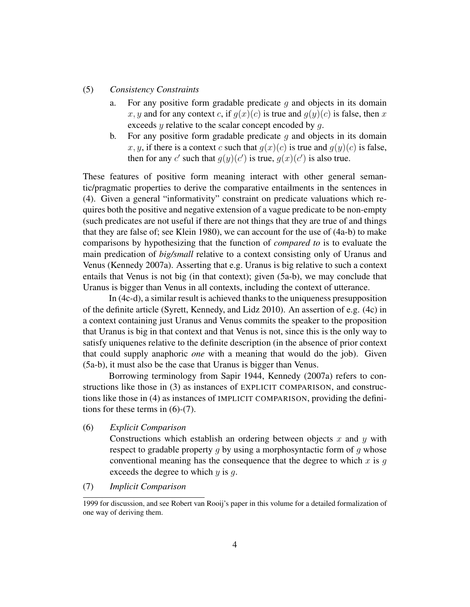#### (5) *Consistency Constraints*

- a. For any positive form gradable predicate  $q$  and objects in its domain x, y and for any context c, if  $q(x)(c)$  is true and  $q(y)(c)$  is false, then x exceeds  $y$  relative to the scalar concept encoded by  $q$ .
- b. For any positive form gradable predicate  $q$  and objects in its domain x, y, if there is a context c such that  $g(x)(c)$  is true and  $g(y)(c)$  is false, then for any c' such that  $g(y)(c')$  is true,  $g(x)(c')$  is also true.

These features of positive form meaning interact with other general semantic/pragmatic properties to derive the comparative entailments in the sentences in (4). Given a general "informativity" constraint on predicate valuations which requires both the positive and negative extension of a vague predicate to be non-empty (such predicates are not useful if there are not things that they are true of and things that they are false of; see Klein 1980), we can account for the use of (4a-b) to make comparisons by hypothesizing that the function of *compared to* is to evaluate the main predication of *big/small* relative to a context consisting only of Uranus and Venus (Kennedy 2007a). Asserting that e.g. Uranus is big relative to such a context entails that Venus is not big (in that context); given (5a-b), we may conclude that Uranus is bigger than Venus in all contexts, including the context of utterance.

In (4c-d), a similar result is achieved thanks to the uniqueness presupposition of the definite article (Syrett, Kennedy, and Lidz 2010). An assertion of e.g. (4c) in a context containing just Uranus and Venus commits the speaker to the proposition that Uranus is big in that context and that Venus is not, since this is the only way to satisfy uniquenes relative to the definite description (in the absence of prior context that could supply anaphoric *one* with a meaning that would do the job). Given (5a-b), it must also be the case that Uranus is bigger than Venus.

Borrowing terminology from Sapir 1944, Kennedy (2007a) refers to constructions like those in (3) as instances of EXPLICIT COMPARISON, and constructions like those in (4) as instances of IMPLICIT COMPARISON, providing the definitions for these terms in (6)-(7).

(6) *Explicit Comparison*

Constructions which establish an ordering between objects  $x$  and  $y$  with respect to gradable property q by using a morphosyntactic form of q whose conventional meaning has the consequence that the degree to which  $x$  is  $q$ exceeds the degree to which  $y$  is  $q$ .

(7) *Implicit Comparison*

<sup>1999</sup> for discussion, and see Robert van Rooij's paper in this volume for a detailed formalization of one way of deriving them.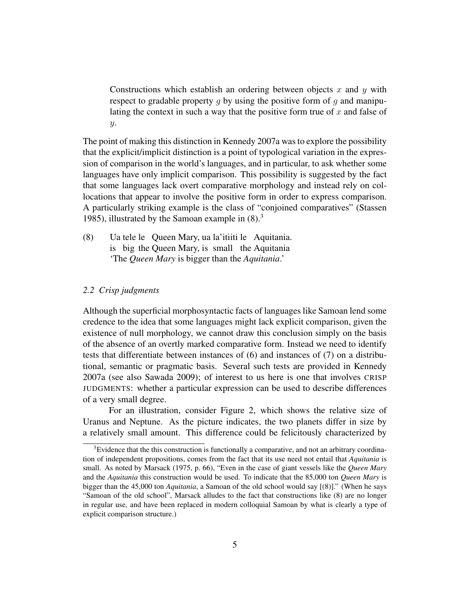Constructions which establish an ordering between objects x and  $y$  with respect to gradable property q by using the positive form of q and manipulating the context in such a way that the positive form true of  $x$  and false of  $\mathcal{U}$ .

The point of making this distinction in Kennedy 2007a was to explore the possibility that the explicit/implicit distinction is a point of typological variation in the expression of comparison in the world's languages, and in particular, to ask whether some languages have only implicit comparison. This possibility is suggested by the fact that some languages lack overt comparative morphology and instead rely on collocations that appear to involve the positive form in order to express comparison. A particularly striking example is the class of "conjoined comparatives" (Stassen 1985), illustrated by the Samoan example in  $(8)$ .<sup>3</sup>

 $(8)$ is big the Queen Mary, is small the Aquitania tele le Queen Mary, ua la'itiiti le Aquitania. 'The *Queen Mary* is bigger than the *Aquitania*.'

# *2.2 Crisp judgments*

Although the superficial morphosyntactic facts of languages like Samoan lend some credence to the idea that some languages might lack explicit comparison, given the existence of null morphology, we cannot draw this conclusion simply on the basis of the absence of an overtly marked comparative form. Instead we need to identify tests that differentiate between instances of (6) and instances of (7) on a distributional, semantic or pragmatic basis. Several such tests are provided in Kennedy 2007a (see also Sawada 2009); of interest to us here is one that involves CRISP JUDGMENTS: whether a particular expression can be used to describe differences of a very small degree.

For an illustration, consider Figure 2, which shows the relative size of Uranus and Neptune. As the picture indicates, the two planets differ in size by a relatively small amount. This difference could be felicitously characterized by

<sup>&</sup>lt;sup>3</sup>Evidence that the this construction is functionally a comparative, and not an arbitrary coordination of independent propositions, comes from the fact that its use need not entail that *Aquitania* is small. As noted by Marsack (1975, p. 66), "Even in the case of giant vessels like the *Queen Mary* and the *Aquitania* this construction would be used. To indicate that the 85,000 ton *Queen Mary* is bigger than the 45,000 ton *Aquitania*, a Samoan of the old school would say [(8)]." (When he says "Samoan of the old school", Marsack alludes to the fact that constructions like (8) are no longer in regular use, and have been replaced in modern colloquial Samoan by what is clearly a type of explicit comparison structure.)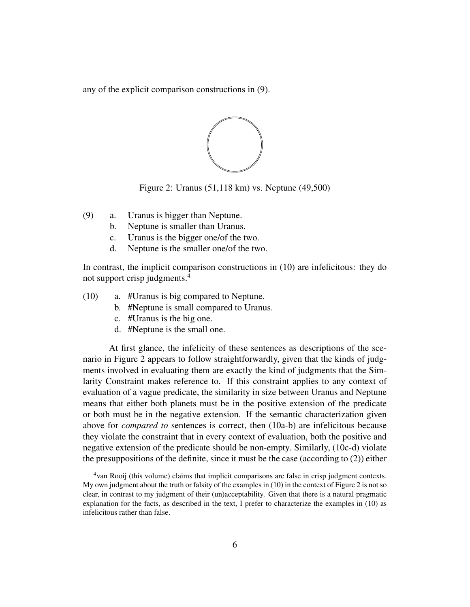any of the explicit comparison constructions in (9).



Figure 2: Uranus (51,118 km) vs. Neptune (49,500)

- (9) a. Uranus is bigger than Neptune.
	- b. Neptune is smaller than Uranus.
	- c. Uranus is the bigger one/of the two.
	- d. Neptune is the smaller one/of the two.

In contrast, the implicit comparison constructions in (10) are infelicitous: they do not support crisp judgments.<sup>4</sup>

- (10) a. #Uranus is big compared to Neptune.
	- b. #Neptune is small compared to Uranus.
	- c. #Uranus is the big one.
	- d. #Neptune is the small one.

At first glance, the infelicity of these sentences as descriptions of the scenario in Figure 2 appears to follow straightforwardly, given that the kinds of judgments involved in evaluating them are exactly the kind of judgments that the Simlarity Constraint makes reference to. If this constraint applies to any context of evaluation of a vague predicate, the similarity in size between Uranus and Neptune means that either both planets must be in the positive extension of the predicate or both must be in the negative extension. If the semantic characterization given above for *compared to* sentences is correct, then (10a-b) are infelicitous because they violate the constraint that in every context of evaluation, both the positive and negative extension of the predicate should be non-empty. Similarly, (10c-d) violate the presuppositions of the definite, since it must be the case (according to (2)) either

<sup>4</sup>van Rooij (this volume) claims that implicit comparisons are false in crisp judgment contexts. My own judgment about the truth or falsity of the examples in (10) in the context of Figure 2 is not so clear, in contrast to my judgment of their (un)acceptability. Given that there is a natural pragmatic explanation for the facts, as described in the text, I prefer to characterize the examples in (10) as infelicitous rather than false.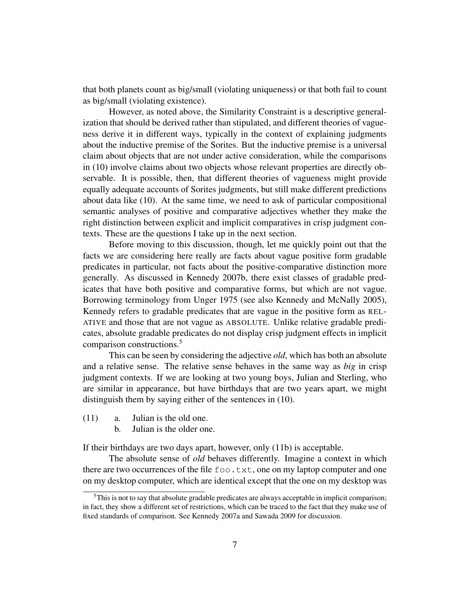that both planets count as big/small (violating uniqueness) or that both fail to count as big/small (violating existence).

However, as noted above, the Similarity Constraint is a descriptive generalization that should be derived rather than stipulated, and different theories of vagueness derive it in different ways, typically in the context of explaining judgments about the inductive premise of the Sorites. But the inductive premise is a universal claim about objects that are not under active consideration, while the comparisons in (10) involve claims about two objects whose relevant properties are directly observable. It is possible, then, that different theories of vagueness might provide equally adequate accounts of Sorites judgments, but still make different predictions about data like (10). At the same time, we need to ask of particular compositional semantic analyses of positive and comparative adjectives whether they make the right distinction between explicit and implicit comparatives in crisp judgment contexts. These are the questions I take up in the next section.

Before moving to this discussion, though, let me quickly point out that the facts we are considering here really are facts about vague positive form gradable predicates in particular, not facts about the positive-comparative distinction more generally. As discussed in Kennedy 2007b, there exist classes of gradable predicates that have both positive and comparative forms, but which are not vague. Borrowing terminology from Unger 1975 (see also Kennedy and McNally 2005), Kennedy refers to gradable predicates that are vague in the positive form as REL-ATIVE and those that are not vague as ABSOLUTE. Unlike relative gradable predicates, absolute gradable predicates do not display crisp judgment effects in implicit comparison constructions.<sup>5</sup>

This can be seen by considering the adjective *old*, which has both an absolute and a relative sense. The relative sense behaves in the same way as *big* in crisp judgment contexts. If we are looking at two young boys, Julian and Sterling, who are similar in appearance, but have birthdays that are two years apart, we might distinguish them by saying either of the sentences in (10).

- (11) a. Julian is the old one.
	- b. Julian is the older one.

If their birthdays are two days apart, however, only (11b) is acceptable.

The absolute sense of *old* behaves differently. Imagine a context in which there are two occurrences of the file  $f \circ \circ t$  xt, one on my laptop computer and one on my desktop computer, which are identical except that the one on my desktop was

 $<sup>5</sup>$ This is not to say that absolute gradable predicates are always acceptable in implicit comparison;</sup> in fact, they show a different set of restrictions, which can be traced to the fact that they make use of fixed standards of comparison. See Kennedy 2007a and Sawada 2009 for discussion.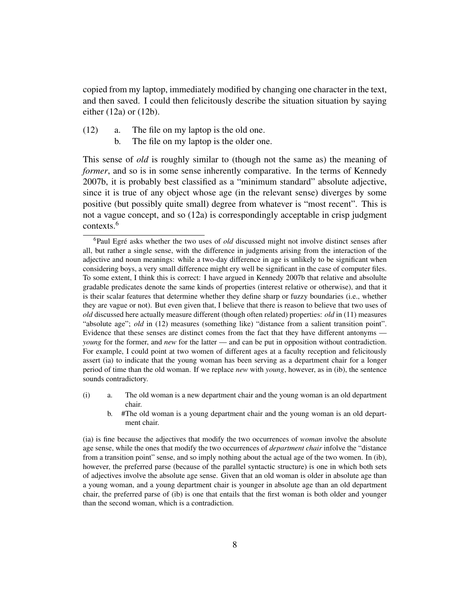copied from my laptop, immediately modified by changing one character in the text, and then saved. I could then felicitously describe the situation situation by saying either (12a) or (12b).

- (12) a. The file on my laptop is the old one.
	- b. The file on my laptop is the older one.

This sense of *old* is roughly similar to (though not the same as) the meaning of *former*, and so is in some sense inherently comparative. In the terms of Kennedy 2007b, it is probably best classified as a "minimum standard" absolute adjective, since it is true of any object whose age (in the relevant sense) diverges by some positive (but possibly quite small) degree from whatever is "most recent". This is not a vague concept, and so (12a) is correspondingly acceptable in crisp judgment contexts.<sup>6</sup>

- (i) a. The old woman is a new department chair and the young woman is an old department chair.
	- b. #The old woman is a young department chair and the young woman is an old department chair.

<sup>&</sup>lt;sup>6</sup>Paul Egré asks whether the two uses of *old* discussed might not involve distinct senses after all, but rather a single sense, with the difference in judgments arising from the interaction of the adjective and noun meanings: while a two-day difference in age is unlikely to be significant when considering boys, a very small difference might ery well be significant in the case of computer files. To some extent, I think this is correct: I have argued in Kennedy 2007b that relative and absolulte gradable predicates denote the same kinds of properties (interest relative or otherwise), and that it is their scalar features that determine whether they define sharp or fuzzy boundaries (i.e., whether they are vague or not). But even given that, I believe that there is reason to believe that two uses of *old* discussed here actually measure different (though often related) properties: *old* in (11) measures "absolute age"; *old* in (12) measures (something like) "distance from a salient transition point". Evidence that these senses are distinct comes from the fact that they have different antonyms *young* for the former, and *new* for the latter — and can be put in opposition without contradiction. For example, I could point at two women of different ages at a faculty reception and felicitously assert (ia) to indicate that the young woman has been serving as a department chair for a longer period of time than the old woman. If we replace *new* with *young*, however, as in (ib), the sentence sounds contradictory.

<sup>(</sup>ia) is fine because the adjectives that modify the two occurrences of *woman* involve the absolute age sense, while the ones that modify the two occurrences of *department chair* infolve the "distance from a transition point" sense, and so imply nothing about the actual age of the two women. In (ib), however, the preferred parse (because of the parallel syntactic structure) is one in which both sets of adjectives involve the absolute age sense. Given that an old woman is older in absolute age than a young woman, and a young department chair is younger in absolute age than an old department chair, the preferred parse of (ib) is one that entails that the first woman is both older and younger than the second woman, which is a contradiction.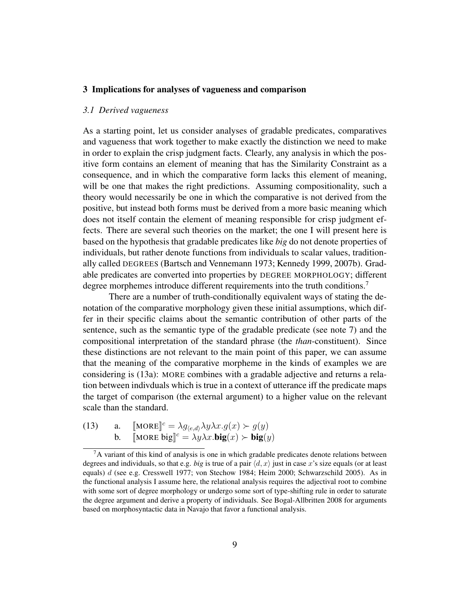#### 3 Implications for analyses of vagueness and comparison

#### *3.1 Derived vagueness*

As a starting point, let us consider analyses of gradable predicates, comparatives and vagueness that work together to make exactly the distinction we need to make in order to explain the crisp judgment facts. Clearly, any analysis in which the positive form contains an element of meaning that has the Similarity Constraint as a consequence, and in which the comparative form lacks this element of meaning, will be one that makes the right predictions. Assuming compositionality, such a theory would necessarily be one in which the comparative is not derived from the positive, but instead both forms must be derived from a more basic meaning which does not itself contain the element of meaning responsible for crisp judgment effects. There are several such theories on the market; the one I will present here is based on the hypothesis that gradable predicates like *big* do not denote properties of individuals, but rather denote functions from individuals to scalar values, traditionally called DEGREES (Bartsch and Vennemann 1973; Kennedy 1999, 2007b). Gradable predicates are converted into properties by DEGREE MORPHOLOGY; different degree morphemes introduce different requirements into the truth conditions.<sup>7</sup>

There are a number of truth-conditionally equivalent ways of stating the denotation of the comparative morphology given these initial assumptions, which differ in their specific claims about the semantic contribution of other parts of the sentence, such as the semantic type of the gradable predicate (see note 7) and the compositional interpretation of the standard phrase (the *than*-constituent). Since these distinctions are not relevant to the main point of this paper, we can assume that the meaning of the comparative morpheme in the kinds of examples we are considering is (13a): MORE combines with a gradable adjective and returns a relation between indivduals which is true in a context of utterance iff the predicate maps the target of comparison (the external argument) to a higher value on the relevant scale than the standard.

(13) a.  $[\text{MORE}]^c = \lambda g_{\langle e,d \rangle} \lambda y \lambda x. g(x) \succ g(y)$ b.  $[\text{More big}]^c = \lambda y \lambda x. \text{big}(x) \succ \text{big}(y)$ 

<sup>&</sup>lt;sup>7</sup>A variant of this kind of analysis is one in which gradable predicates denote relations between degrees and individuals, so that e.g. *big* is true of a pair  $\langle d, x \rangle$  just in case x's size equals (or at least equals) d (see e.g. Cresswell 1977; von Stechow 1984; Heim 2000; Schwarzschild 2005). As in the functional analysis I assume here, the relational analysis requires the adjectival root to combine with some sort of degree morphology or undergo some sort of type-shifting rule in order to saturate the degree argument and derive a property of individuals. See Bogal-Allbritten 2008 for arguments based on morphosyntactic data in Navajo that favor a functional analysis.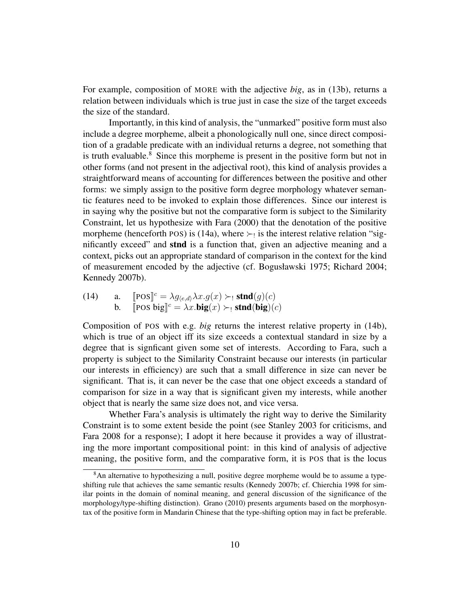For example, composition of MORE with the adjective *big*, as in (13b), returns a relation between individuals which is true just in case the size of the target exceeds the size of the standard.

Importantly, in this kind of analysis, the "unmarked" positive form must also include a degree morpheme, albeit a phonologically null one, since direct composition of a gradable predicate with an individual returns a degree, not something that is truth evaluable.<sup>8</sup> Since this morpheme is present in the positive form but not in other forms (and not present in the adjectival root), this kind of analysis provides a straightforward means of accounting for differences between the positive and other forms: we simply assign to the positive form degree morphology whatever semantic features need to be invoked to explain those differences. Since our interest is in saying why the positive but not the comparative form is subject to the Similarity Constraint, let us hypothesize with Fara (2000) that the denotation of the positive morpheme (henceforth POS) is (14a), where  $\succ$ <sub>1</sub> is the interest relative relation "significantly exceed" and stnd is a function that, given an adjective meaning and a context, picks out an appropriate standard of comparison in the context for the kind of measurement encoded by the adjective (cf. Bogusławski 1975; Richard 2004; Kennedy 2007b).

(14) a. 
$$
[\text{POS}]^c = \lambda g_{\langle e,d \rangle} \lambda x. g(x) \succ_! \text{stnd}(g)(c)
$$
  
b.  $[\text{POS big}]^c = \lambda x. \text{big}(x) \succ_! \text{stnd}(\text{big})(c)$ 

Composition of POS with e.g. *big* returns the interest relative property in (14b), which is true of an object iff its size exceeds a contextual standard in size by a degree that is signficant given some set of interests. According to Fara, such a property is subject to the Similarity Constraint because our interests (in particular our interests in efficiency) are such that a small difference in size can never be significant. That is, it can never be the case that one object exceeds a standard of comparison for size in a way that is significant given my interests, while another object that is nearly the same size does not, and vice versa.

Whether Fara's analysis is ultimately the right way to derive the Similarity Constraint is to some extent beside the point (see Stanley 2003 for criticisms, and Fara 2008 for a response); I adopt it here because it provides a way of illustrating the more important compositional point: in this kind of analysis of adjective meaning, the positive form, and the comparative form, it is POS that is the locus

<sup>8</sup>An alternative to hypothesizing a null, positive degree morpheme would be to assume a typeshifting rule that achieves the same semantic results (Kennedy 2007b; cf. Chierchia 1998 for similar points in the domain of nominal meaning, and general discussion of the significance of the morphology/type-shifting distinction). Grano (2010) presents arguments based on the morphosyntax of the positive form in Mandarin Chinese that the type-shifting option may in fact be preferable.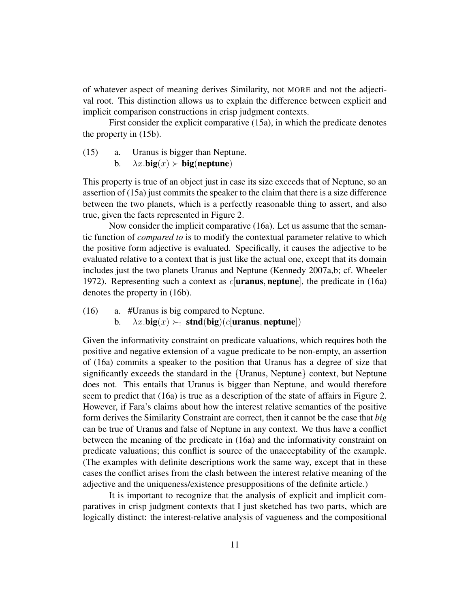of whatever aspect of meaning derives Similarity, not MORE and not the adjectival root. This distinction allows us to explain the difference between explicit and implicit comparison constructions in crisp judgment contexts.

First consider the explicit comparative (15a), in which the predicate denotes the property in (15b).

(15) a. Uranus is bigger than Neptune.

b.  $\lambda x.\textbf{big}(x) \succ \textbf{big}(\textbf{neptune})$ 

This property is true of an object just in case its size exceeds that of Neptune, so an assertion of (15a) just commits the speaker to the claim that there is a size difference between the two planets, which is a perfectly reasonable thing to assert, and also true, given the facts represented in Figure 2.

Now consider the implicit comparative (16a). Let us assume that the semantic function of *compared to* is to modify the contextual parameter relative to which the positive form adjective is evaluated. Specifically, it causes the adjective to be evaluated relative to a context that is just like the actual one, except that its domain includes just the two planets Uranus and Neptune (Kennedy 2007a,b; cf. Wheeler 1972). Representing such a context as  $c$ [**uranus**, **neptune**], the predicate in (16a) denotes the property in (16b).

(16) a. #Uranus is big compared to Neptune. b.  $\lambda x.\text{big}(x) \succ_1 \text{stnd}(\text{big})(c[\text{uranus}, \text{neptune}])$ 

Given the informativity constraint on predicate valuations, which requires both the positive and negative extension of a vague predicate to be non-empty, an assertion of (16a) commits a speaker to the position that Uranus has a degree of size that significantly exceeds the standard in the {Uranus, Neptune} context, but Neptune does not. This entails that Uranus is bigger than Neptune, and would therefore seem to predict that (16a) is true as a description of the state of affairs in Figure 2. However, if Fara's claims about how the interest relative semantics of the positive form derives the Similarity Constraint are correct, then it cannot be the case that *big* can be true of Uranus and false of Neptune in any context. We thus have a conflict between the meaning of the predicate in (16a) and the informativity constraint on predicate valuations; this conflict is source of the unacceptability of the example. (The examples with definite descriptions work the same way, except that in these cases the conflict arises from the clash between the interest relative meaning of the adjective and the uniqueness/existence presuppositions of the definite article.)

It is important to recognize that the analysis of explicit and implicit comparatives in crisp judgment contexts that I just sketched has two parts, which are logically distinct: the interest-relative analysis of vagueness and the compositional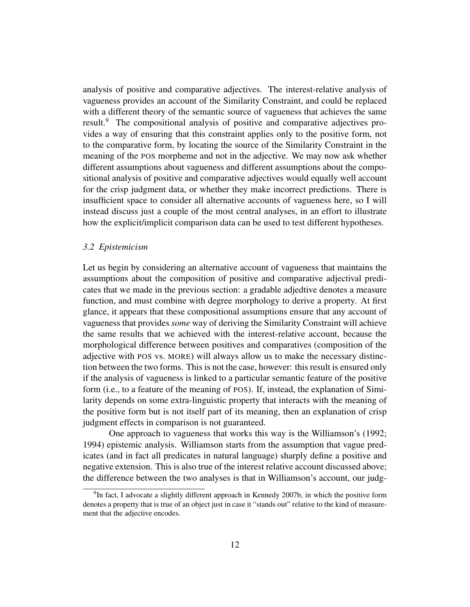analysis of positive and comparative adjectives. The interest-relative analysis of vagueness provides an account of the Similarity Constraint, and could be replaced with a different theory of the semantic source of vagueness that achieves the same result.<sup>9</sup> The compositional analysis of positive and comparative adjectives provides a way of ensuring that this constraint applies only to the positive form, not to the comparative form, by locating the source of the Similarity Constraint in the meaning of the POS morpheme and not in the adjective. We may now ask whether different assumptions about vagueness and different assumptions about the compositional analysis of positive and comparative adjectives would equally well account for the crisp judgment data, or whether they make incorrect predictions. There is insufficient space to consider all alternative accounts of vagueness here, so I will instead discuss just a couple of the most central analyses, in an effort to illustrate how the explicit/implicit comparison data can be used to test different hypotheses.

#### *3.2 Epistemicism*

Let us begin by considering an alternative account of vagueness that maintains the assumptions about the composition of positive and comparative adjectival predicates that we made in the previous section: a gradable adjedtive denotes a measure function, and must combine with degree morphology to derive a property. At first glance, it appears that these compositional assumptions ensure that any account of vagueness that provides *some* way of deriving the Similarity Constraint will achieve the same results that we achieved with the interest-relative account, because the morphological difference between positives and comparatives (composition of the adjective with POS vs. MORE) will always allow us to make the necessary distinction between the two forms. This is not the case, however: this result is ensured only if the analysis of vagueness is linked to a particular semantic feature of the positive form (i.e., to a feature of the meaning of POS). If, instead, the explanation of Similarity depends on some extra-linguistic property that interacts with the meaning of the positive form but is not itself part of its meaning, then an explanation of crisp judgment effects in comparison is not guaranteed.

One approach to vagueness that works this way is the Williamson's (1992; 1994) epistemic analysis. Williamson starts from the assumption that vague predicates (and in fact all predicates in natural language) sharply define a positive and negative extension. This is also true of the interest relative account discussed above; the difference between the two analyses is that in Williamson's account, our judg-

<sup>&</sup>lt;sup>9</sup>In fact, I advocate a slightly different approach in Kennedy 2007b, in which the positive form denotes a property that is true of an object just in case it "stands out" relative to the kind of measurement that the adjective encodes.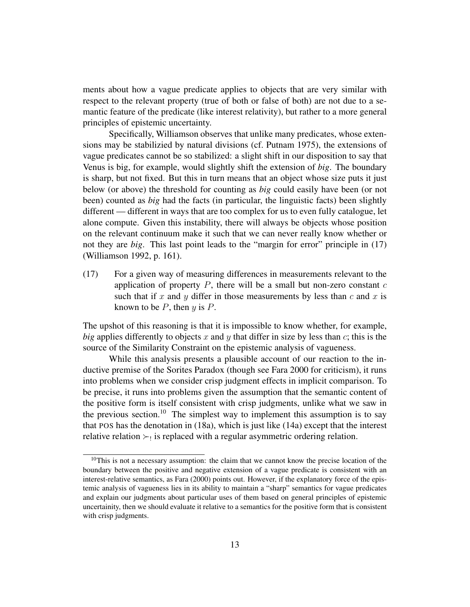ments about how a vague predicate applies to objects that are very similar with respect to the relevant property (true of both or false of both) are not due to a semantic feature of the predicate (like interest relativity), but rather to a more general principles of epistemic uncertainty.

Specifically, Williamson observes that unlike many predicates, whose extensions may be stabilizied by natural divisions (cf. Putnam 1975), the extensions of vague predicates cannot be so stabilized: a slight shift in our disposition to say that Venus is big, for example, would slightly shift the extension of *big*. The boundary is sharp, but not fixed. But this in turn means that an object whose size puts it just below (or above) the threshold for counting as *big* could easily have been (or not been) counted as *big* had the facts (in particular, the linguistic facts) been slightly different — different in ways that are too complex for us to even fully catalogue, let alone compute. Given this instability, there will always be objects whose position on the relevant continuum make it such that we can never really know whether or not they are *big*. This last point leads to the "margin for error" principle in (17) (Williamson 1992, p. 161).

(17) For a given way of measuring differences in measurements relevant to the application of property  $P$ , there will be a small but non-zero constant  $c$ such that if x and y differ in those measurements by less than c and x is known to be  $P$ , then  $y$  is  $P$ .

The upshot of this reasoning is that it is impossible to know whether, for example, *big* applies differently to objects x and y that differ in size by less than  $c$ ; this is the source of the Similarity Constraint on the epistemic analysis of vagueness.

While this analysis presents a plausible account of our reaction to the inductive premise of the Sorites Paradox (though see Fara 2000 for criticism), it runs into problems when we consider crisp judgment effects in implicit comparison. To be precise, it runs into problems given the assumption that the semantic content of the positive form is itself consistent with crisp judgments, unlike what we saw in the previous section.<sup>10</sup> The simplest way to implement this assumption is to say that POS has the denotation in (18a), which is just like (14a) except that the interest relative relation  $\succ$ <sub>!</sub> is replaced with a regular asymmetric ordering relation.

 $10$ This is not a necessary assumption: the claim that we cannot know the precise location of the boundary between the positive and negative extension of a vague predicate is consistent with an interest-relative semantics, as Fara (2000) points out. However, if the explanatory force of the epistemic analysis of vagueness lies in its ability to maintain a "sharp" semantics for vague predicates and explain our judgments about particular uses of them based on general principles of epistemic uncertainity, then we should evaluate it relative to a semantics for the positive form that is consistent with crisp judgments.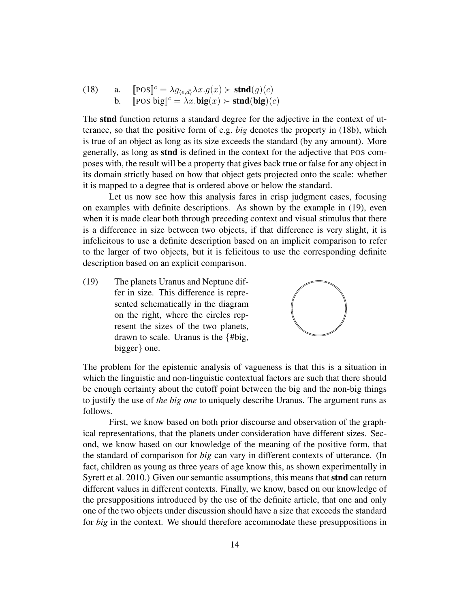(18) a. 
$$
[\text{POS}]^c = \lambda g_{\langle e,d \rangle} \lambda x. g(x) \succ \text{stnd}(g)(c)
$$
  
b.  $[\text{POS big}]^c = \lambda x. \text{big}(x) \succ \text{stnd}(\text{big})(c)$ 

The stnd function returns a standard degree for the adjective in the context of utterance, so that the positive form of e.g. *big* denotes the property in (18b), which is true of an object as long as its size exceeds the standard (by any amount). More generally, as long as stnd is defined in the context for the adjective that POS composes with, the result will be a property that gives back true or false for any object in its domain strictly based on how that object gets projected onto the scale: whether it is mapped to a degree that is ordered above or below the standard.

Let us now see how this analysis fares in crisp judgment cases, focusing on examples with definite descriptions. As shown by the example in (19), even when it is made clear both through preceding context and visual stimulus that there is a difference in size between two objects, if that difference is very slight, it is infelicitous to use a definite description based on an implicit comparison to refer to the larger of two objects, but it is felicitous to use the corresponding definite description based on an explicit comparison.

(19) The planets Uranus and Neptune differ in size. This difference is represented schematically in the diagram on the right, where the circles represent the sizes of the two planets, drawn to scale. Uranus is the {#big, bigger} one.



The problem for the epistemic analysis of vagueness is that this is a situation in which the linguistic and non-linguistic contextual factors are such that there should be enough certainty about the cutoff point between the big and the non-big things to justify the use of *the big one* to uniquely describe Uranus. The argument runs as follows.

First, we know based on both prior discourse and observation of the graphical representations, that the planets under consideration have different sizes. Second, we know based on our knowledge of the meaning of the positive form, that the standard of comparison for *big* can vary in different contexts of utterance. (In fact, children as young as three years of age know this, as shown experimentally in Syrett et al. 2010.) Given our semantic assumptions, this means that stnd can return different values in different contexts. Finally, we know, based on our knowledge of the presuppositions introduced by the use of the definite article, that one and only one of the two objects under discussion should have a size that exceeds the standard for *big* in the context. We should therefore accommodate these presuppositions in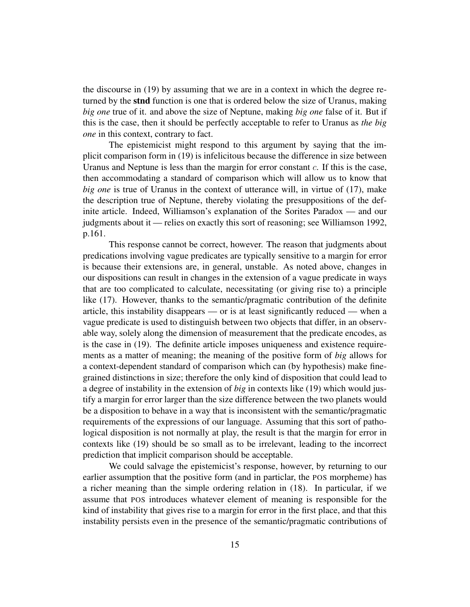the discourse in (19) by assuming that we are in a context in which the degree returned by the stnd function is one that is ordered below the size of Uranus, making *big one* true of it. and above the size of Neptune, making *big one* false of it. But if this is the case, then it should be perfectly acceptable to refer to Uranus as *the big one* in this context, contrary to fact.

The epistemicist might respond to this argument by saying that the implicit comparison form in (19) is infelicitous because the difference in size between Uranus and Neptune is less than the margin for error constant  $c$ . If this is the case, then accommodating a standard of comparison which will allow us to know that *big one* is true of Uranus in the context of utterance will, in virtue of (17), make the description true of Neptune, thereby violating the presuppositions of the definite article. Indeed, Williamson's explanation of the Sorites Paradox — and our judgments about it — relies on exactly this sort of reasoning; see Williamson 1992, p.161.

This response cannot be correct, however. The reason that judgments about predications involving vague predicates are typically sensitive to a margin for error is because their extensions are, in general, unstable. As noted above, changes in our dispositions can result in changes in the extension of a vague predicate in ways that are too complicated to calculate, necessitating (or giving rise to) a principle like (17). However, thanks to the semantic/pragmatic contribution of the definite article, this instability disappears — or is at least significantly reduced — when a vague predicate is used to distinguish between two objects that differ, in an observable way, solely along the dimension of measurement that the predicate encodes, as is the case in (19). The definite article imposes uniqueness and existence requirements as a matter of meaning; the meaning of the positive form of *big* allows for a context-dependent standard of comparison which can (by hypothesis) make finegrained distinctions in size; therefore the only kind of disposition that could lead to a degree of instability in the extension of *big* in contexts like (19) which would justify a margin for error larger than the size difference between the two planets would be a disposition to behave in a way that is inconsistent with the semantic/pragmatic requirements of the expressions of our language. Assuming that this sort of pathological disposition is not normally at play, the result is that the margin for error in contexts like (19) should be so small as to be irrelevant, leading to the incorrect prediction that implicit comparison should be acceptable.

We could salvage the epistemicist's response, however, by returning to our earlier assumption that the positive form (and in particlar, the POS morpheme) has a richer meaning than the simple ordering relation in (18). In particular, if we assume that POS introduces whatever element of meaning is responsible for the kind of instability that gives rise to a margin for error in the first place, and that this instability persists even in the presence of the semantic/pragmatic contributions of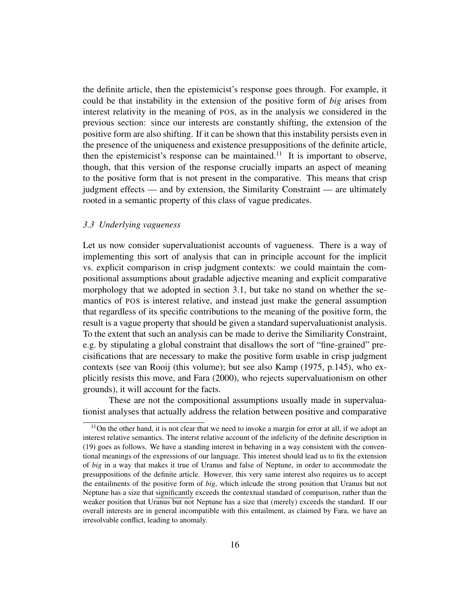the definite article, then the epistemicist's response goes through. For example, it could be that instability in the extension of the positive form of *big* arises from interest relativity in the meaning of POS, as in the analysis we considered in the previous section: since our interests are constantly shifting, the extension of the positive form are also shifting. If it can be shown that this instability persists even in the presence of the uniqueness and existence presuppositions of the definite article, then the epistemicist's response can be maintained.<sup>11</sup> It is important to observe, though, that this version of the response crucially imparts an aspect of meaning to the positive form that is not present in the comparative. This means that crisp judgment effects — and by extension, the Similarity Constraint — are ultimately rooted in a semantic property of this class of vague predicates.

## *3.3 Underlying vagueness*

Let us now consider supervaluationist accounts of vagueness. There is a way of implementing this sort of analysis that can in principle account for the implicit vs. explicit comparison in crisp judgment contexts: we could maintain the compositional assumptions about gradable adjective meaning and explicit comparative morphology that we adopted in section 3.1, but take no stand on whether the semantics of POS is interest relative, and instead just make the general assumption that regardless of its specific contributions to the meaning of the positive form, the result is a vague property that should be given a standard supervaluationist analysis. To the extent that such an analysis can be made to derive the Similiarity Constraint, e.g. by stipulating a global constraint that disallows the sort of "fine-grained" precisifications that are necessary to make the positive form usable in crisp judgment contexts (see van Rooij (this volume); but see also Kamp (1975, p.145), who explicitly resists this move, and Fara (2000), who rejects supervaluationism on other grounds), it will account for the facts.

These are not the compositional assumptions usually made in supervaluationist analyses that actually address the relation between positive and comparative

 $11$ On the other hand, it is not clear that we need to invoke a margin for error at all, if we adopt an interest relative semantics. The interst relative account of the infelicity of the definite description in (19) goes as follows. We have a standing interest in behaving in a way consistent with the conventional meanings of the expressions of our language. This interest should lead us to fix the extension of *big* in a way that makes it true of Uranus and false of Neptune, in order to accommodate the presuppositions of the definite article. However, this very same interest also requires us to accept the entailments of the positive form of *big*, which inlcude the strong position that Uranus but not Neptune has a size that significantly exceeds the contextual standard of comparison, rather than the weaker position that Uranus but not Neptune has a size that (merely) exceeds the standard. If our overall interests are in general incompatible with this entailment, as claimed by Fara, we have an irresolvable conflict, leading to anomaly.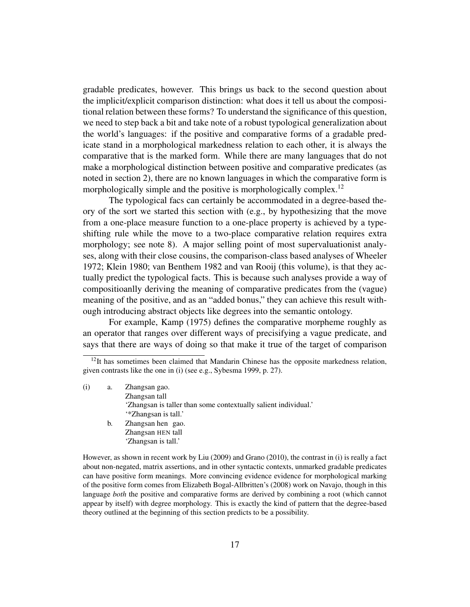gradable predicates, however. This brings us back to the second question about the implicit/explicit comparison distinction: what does it tell us about the compositional relation between these forms? To understand the significance of this question, we need to step back a bit and take note of a robust typological generalization about the world's languages: if the positive and comparative forms of a gradable predicate stand in a morphological markedness relation to each other, it is always the comparative that is the marked form. While there are many languages that do not make a morphological distinction between positive and comparative predicates (as noted in section 2), there are no known languages in which the comparative form is morphologically simple and the positive is morphologically complex.<sup>12</sup>

The typological facs can certainly be accommodated in a degree-based theory of the sort we started this section with (e.g., by hypothesizing that the move from a one-place measure function to a one-place property is achieved by a typeshifting rule while the move to a two-place comparative relation requires extra morphology; see note 8). A major selling point of most supervaluationist analyses, along with their close cousins, the comparison-class based analyses of Wheeler 1972; Klein 1980; van Benthem 1982 and van Rooij (this volume), is that they actually predict the typological facts. This is because such analyses provide a way of compositioanlly deriving the meaning of comparative predicates from the (vague) meaning of the positive, and as an "added bonus," they can achieve this result withough introducing abstract objects like degrees into the semantic ontology.

For example, Kamp (1975) defines the comparative morpheme roughly as an operator that ranges over different ways of precisifying a vague predicate, and says that there are ways of doing so that make it true of the target of comparison

| (i) | a. | Zhangsan gao.                                                   |
|-----|----|-----------------------------------------------------------------|
|     |    | Zhangsan tall                                                   |
|     |    | 'Zhangsan is taller than some contextually salient individual.' |
|     |    | " <sup>*</sup> Zhangsan is tall"                                |
|     | b. | Zhangsan hen gao.                                               |
|     |    | Zhangsan HEN tall                                               |
|     |    | 'Zhangsan is tall.'                                             |

However, as shown in recent work by Liu (2009) and Grano (2010), the contrast in (i) is really a fact about non-negated, matrix assertions, and in other syntactic contexts, unmarked gradable predicates can have positive form meanings. More convincing evidence evidence for morphological marking of the positive form comes from Elizabeth Bogal-Allbritten's (2008) work on Navajo, though in this language *both* the positive and comparative forms are derived by combining a root (which cannot appear by itself) with degree morphology. This is exactly the kind of pattern that the degree-based theory outlined at the beginning of this section predicts to be a possibility.

<sup>&</sup>lt;sup>12</sup>It has sometimes been claimed that Mandarin Chinese has the opposite markedness relation, given contrasts like the one in (i) (see e.g., Sybesma 1999, p. 27).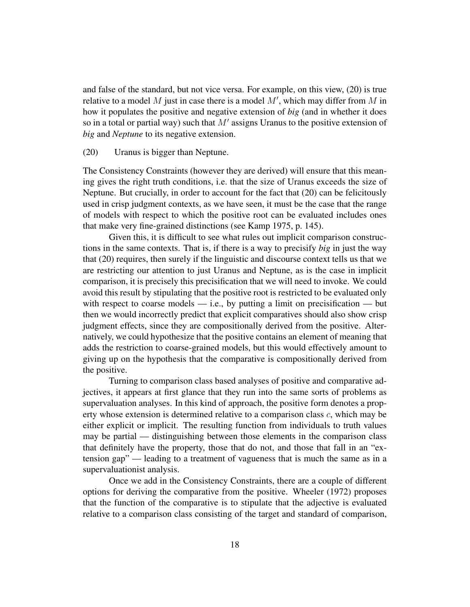and false of the standard, but not vice versa. For example, on this view, (20) is true relative to a model M just in case there is a model  $M'$ , which may differ from M in how it populates the positive and negative extension of *big* (and in whether it does so in a total or partial way) such that  $M'$  assigns Uranus to the positive extension of *big* and *Neptune* to its negative extension.

(20) Uranus is bigger than Neptune.

The Consistency Constraints (however they are derived) will ensure that this meaning gives the right truth conditions, i.e. that the size of Uranus exceeds the size of Neptune. But crucially, in order to account for the fact that (20) can be felicitously used in crisp judgment contexts, as we have seen, it must be the case that the range of models with respect to which the positive root can be evaluated includes ones that make very fine-grained distinctions (see Kamp 1975, p. 145).

Given this, it is difficult to see what rules out implicit comparison constructions in the same contexts. That is, if there is a way to precisify *big* in just the way that (20) requires, then surely if the linguistic and discourse context tells us that we are restricting our attention to just Uranus and Neptune, as is the case in implicit comparison, it is precisely this precisification that we will need to invoke. We could avoid this result by stipulating that the positive root is restricted to be evaluated only with respect to coarse models  $-$  i.e., by putting a limit on precisification  $-$  but then we would incorrectly predict that explicit comparatives should also show crisp judgment effects, since they are compositionally derived from the positive. Alternatively, we could hypothesize that the positive contains an element of meaning that adds the restriction to coarse-grained models, but this would effectively amount to giving up on the hypothesis that the comparative is compositionally derived from the positive.

Turning to comparison class based analyses of positive and comparative adjectives, it appears at first glance that they run into the same sorts of problems as supervaluation analyses. In this kind of approach, the positive form denotes a property whose extension is determined relative to a comparison class  $c$ , which may be either explicit or implicit. The resulting function from individuals to truth values may be partial — distinguishing between those elements in the comparison class that definitely have the property, those that do not, and those that fall in an "extension gap" — leading to a treatment of vagueness that is much the same as in a supervaluationist analysis.

Once we add in the Consistency Constraints, there are a couple of different options for deriving the comparative from the positive. Wheeler (1972) proposes that the function of the comparative is to stipulate that the adjective is evaluated relative to a comparison class consisting of the target and standard of comparison,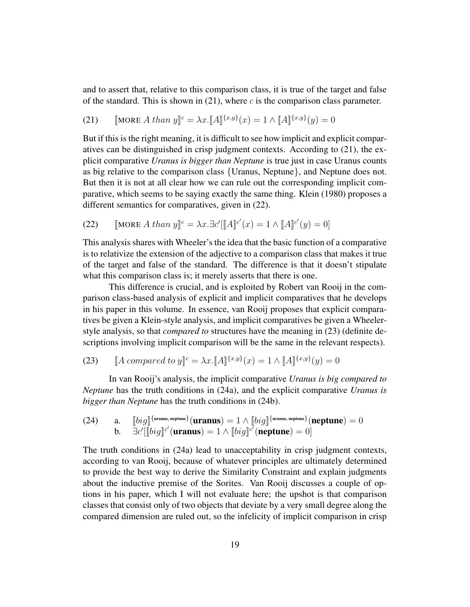and to assert that, relative to this comparison class, it is true of the target and false of the standard. This is shown in  $(21)$ , where c is the comparison class parameter.

(21) 
$$
\text{[MORE } A \text{ than } y \text{]}^{c} = \lambda x. [A]^{x,y}(x) = 1 \wedge [A]^{x,y}(y) = 0
$$

But if this is the right meaning, it is difficult to see how implicit and explicit comparatives can be distinguished in crisp judgment contexts. According to (21), the explicit comparative *Uranus is bigger than Neptune* is true just in case Uranus counts as big relative to the comparison class {Uranus, Neptune}, and Neptune does not. But then it is not at all clear how we can rule out the corresponding implicit comparative, which seems to be saying exactly the same thing. Klein (1980) proposes a different semantics for comparatives, given in (22).

(22) 
$$
[\text{More } A \text{ than } y]^{c} = \lambda x. \exists c' [\llbracket A \rrbracket^{c'}(x) = 1 \land \llbracket A \rrbracket^{c'}(y) = 0]
$$

This analysis shares with Wheeler's the idea that the basic function of a comparative is to relativize the extension of the adjective to a comparison class that makes it true of the target and false of the standard. The difference is that it doesn't stipulate what this comparison class is; it merely asserts that there is one.

This difference is crucial, and is exploited by Robert van Rooij in the comparison class-based analysis of explicit and implicit comparatives that he develops in his paper in this volume. In essence, van Rooij proposes that explicit comparatives be given a Klein-style analysis, and implicit comparatives be given a Wheelerstyle analysis, so that *compared to* structures have the meaning in (23) (definite descriptions involving implicit comparison will be the same in the relevant respects).

(23) 
$$
[A \text{ compared to } y]^c = \lambda x. [A]^{x,y}(x) = 1 \wedge [A]^{x,y}(y) = 0
$$

In van Rooij's analysis, the implicit comparative *Uranus is big compared to Neptune* has the truth conditions in (24a), and the explicit comparative *Uranus is bigger than Neptune* has the truth conditions in (24b).

(24) a. 
$$
[[big]]^{\{uranus, neptune\}}(\text{uranus}) = 1 \wedge [big]^{\{uranus, neptune\}}(\text{neptune}) = 0
$$
\nb.  $\exists c'[[big]^{c'}(\text{uranus}) = 1 \wedge [big]^{c'}(\text{neptune}) = 0$ 

The truth conditions in (24a) lead to unacceptability in crisp judgment contexts, according to van Rooij, because of whatever principles are ultimately determined to provide the best way to derive the Similarity Constraint and explain judgments about the inductive premise of the Sorites. Van Rooij discusses a couple of options in his paper, which I will not evaluate here; the upshot is that comparison classes that consist only of two objects that deviate by a very small degree along the compared dimension are ruled out, so the infelicity of implicit comparison in crisp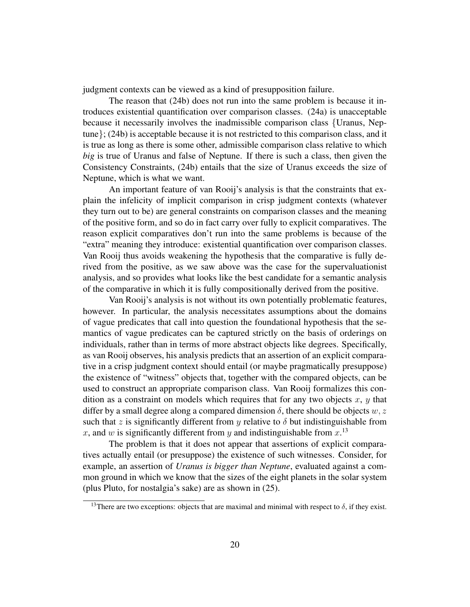judgment contexts can be viewed as a kind of presupposition failure.

The reason that (24b) does not run into the same problem is because it introduces existential quantification over comparison classes. (24a) is unacceptable because it necessarily involves the inadmissible comparison class {Uranus, Neptune}; (24b) is acceptable because it is not restricted to this comparison class, and it is true as long as there is some other, admissible comparison class relative to which *big* is true of Uranus and false of Neptune. If there is such a class, then given the Consistency Constraints, (24b) entails that the size of Uranus exceeds the size of Neptune, which is what we want.

An important feature of van Rooij's analysis is that the constraints that explain the infelicity of implicit comparison in crisp judgment contexts (whatever they turn out to be) are general constraints on comparison classes and the meaning of the positive form, and so do in fact carry over fully to explicit comparatives. The reason explicit comparatives don't run into the same problems is because of the "extra" meaning they introduce: existential quantification over comparison classes. Van Rooij thus avoids weakening the hypothesis that the comparative is fully derived from the positive, as we saw above was the case for the supervaluationist analysis, and so provides what looks like the best candidate for a semantic analysis of the comparative in which it is fully compositionally derived from the positive.

Van Rooij's analysis is not without its own potentially problematic features, however. In particular, the analysis necessitates assumptions about the domains of vague predicates that call into question the foundational hypothesis that the semantics of vague predicates can be captured strictly on the basis of orderings on individuals, rather than in terms of more abstract objects like degrees. Specifically, as van Rooij observes, his analysis predicts that an assertion of an explicit comparative in a crisp judgment context should entail (or maybe pragmatically presuppose) the existence of "witness" objects that, together with the compared objects, can be used to construct an appropriate comparison class. Van Rooij formalizes this condition as a constraint on models which requires that for any two objects  $x, y$  that differ by a small degree along a compared dimension  $\delta$ , there should be objects w, z such that z is significantly different from y relative to  $\delta$  but indistinguishable from x, and w is significantly different from y and indistinguishable from  $x$ .<sup>13</sup>

The problem is that it does not appear that assertions of explicit comparatives actually entail (or presuppose) the existence of such witnesses. Consider, for example, an assertion of *Uranus is bigger than Neptune*, evaluated against a common ground in which we know that the sizes of the eight planets in the solar system (plus Pluto, for nostalgia's sake) are as shown in (25).

<sup>&</sup>lt;sup>13</sup>There are two exceptions: objects that are maximal and minimal with respect to  $\delta$ , if they exist.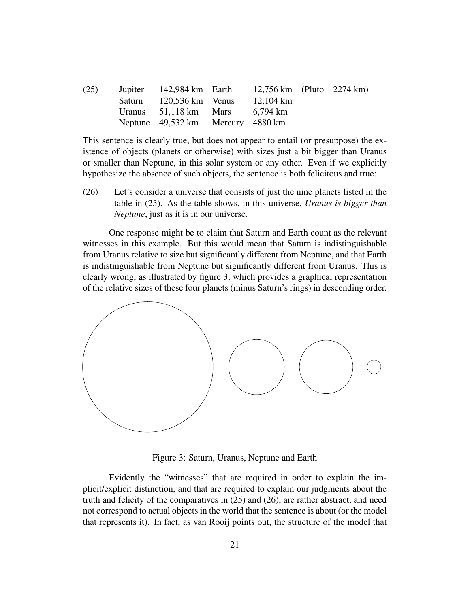| (25) | Jupiter 142,984 km Earth 12,756 km (Pluto 2274 km) |           |  |
|------|----------------------------------------------------|-----------|--|
|      | Saturn 120,536 km Venus                            | 12,104 km |  |
|      | Uranus $51,118 \text{ km}$ Mars $6,794 \text{ km}$ |           |  |
|      | Neptune 49,532 km Mercury 4880 km                  |           |  |

This sentence is clearly true, but does not appear to entail (or presuppose) the existence of objects (planets or otherwise) with sizes just a bit bigger than Uranus or smaller than Neptune, in this solar system or any other. Even if we explicitly hypothesize the absence of such objects, the sentence is both felicitous and true:

(26) Let's consider a universe that consists of just the nine planets listed in the table in (25). As the table shows, in this universe, *Uranus is bigger than Neptune*, just as it is in our universe.

One response might be to claim that Saturn and Earth count as the relevant witnesses in this example. But this would mean that Saturn is indistinguishable from Uranus relative to size but significantly different from Neptune, and that Earth is indistinguishable from Neptune but significantly different from Uranus. This is clearly wrong, as illustrated by figure 3, which provides a graphical representation of the relative sizes of these four planets (minus Saturn's rings) in descending order.



Figure 3: Saturn, Uranus, Neptune and Earth

Evidently the "witnesses" that are required in order to explain the implicit/explicit distinction, and that are required to explain our judgments about the truth and felicity of the comparatives in (25) and (26), are rather abstract, and need not correspond to actual objects in the world that the sentence is about (or the model that represents it). In fact, as van Rooij points out, the structure of the model that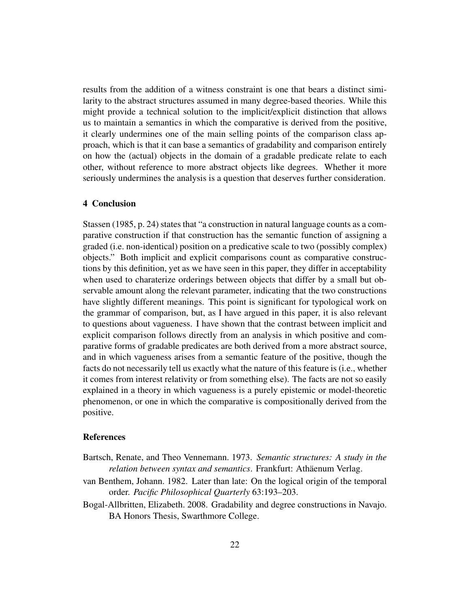results from the addition of a witness constraint is one that bears a distinct similarity to the abstract structures assumed in many degree-based theories. While this might provide a technical solution to the implicit/explicit distinction that allows us to maintain a semantics in which the comparative is derived from the positive, it clearly undermines one of the main selling points of the comparison class approach, which is that it can base a semantics of gradability and comparison entirely on how the (actual) objects in the domain of a gradable predicate relate to each other, without reference to more abstract objects like degrees. Whether it more seriously undermines the analysis is a question that deserves further consideration.

## 4 Conclusion

Stassen (1985, p. 24) states that "a construction in natural language counts as a comparative construction if that construction has the semantic function of assigning a graded (i.e. non-identical) position on a predicative scale to two (possibly complex) objects." Both implicit and explicit comparisons count as comparative constructions by this definition, yet as we have seen in this paper, they differ in acceptability when used to charaterize orderings between objects that differ by a small but observable amount along the relevant parameter, indicating that the two constructions have slightly different meanings. This point is significant for typological work on the grammar of comparison, but, as I have argued in this paper, it is also relevant to questions about vagueness. I have shown that the contrast between implicit and explicit comparison follows directly from an analysis in which positive and comparative forms of gradable predicates are both derived from a more abstract source, and in which vagueness arises from a semantic feature of the positive, though the facts do not necessarily tell us exactly what the nature of this feature is (i.e., whether it comes from interest relativity or from something else). The facts are not so easily explained in a theory in which vagueness is a purely epistemic or model-theoretic phenomenon, or one in which the comparative is compositionally derived from the positive.

#### References

- Bartsch, Renate, and Theo Vennemann. 1973. *Semantic structures: A study in the relation between syntax and semantics*. Frankfurt: Athäenum Verlag.
- van Benthem, Johann. 1982. Later than late: On the logical origin of the temporal order. *Pacific Philosophical Quarterly* 63:193–203.
- Bogal-Allbritten, Elizabeth. 2008. Gradability and degree constructions in Navajo. BA Honors Thesis, Swarthmore College.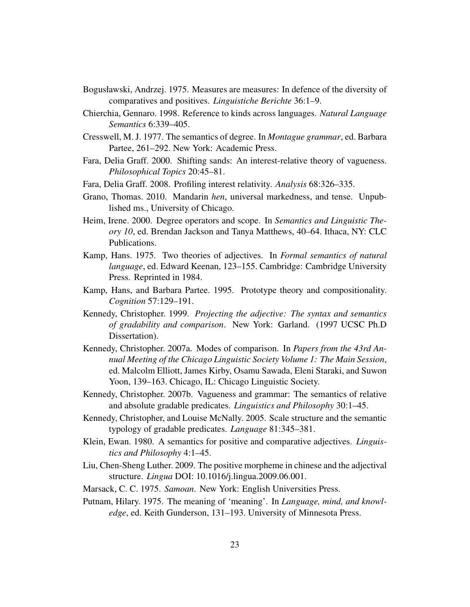- Bogusławski, Andrzej. 1975. Measures are measures: In defence of the diversity of comparatives and positives. *Linguistiche Berichte* 36:1–9.
- Chierchia, Gennaro. 1998. Reference to kinds across languages. *Natural Language Semantics* 6:339–405.
- Cresswell, M. J. 1977. The semantics of degree. In *Montague grammar*, ed. Barbara Partee, 261–292. New York: Academic Press.
- Fara, Delia Graff. 2000. Shifting sands: An interest-relative theory of vagueness. *Philosophical Topics* 20:45–81.
- Fara, Delia Graff. 2008. Profiling interest relativity. *Analysis* 68:326–335.
- Grano, Thomas. 2010. Mandarin *hen*, universal markedness, and tense. Unpublished ms., University of Chicago.
- Heim, Irene. 2000. Degree operators and scope. In *Semantics and Linguistic Theory 10*, ed. Brendan Jackson and Tanya Matthews, 40–64. Ithaca, NY: CLC Publications.
- Kamp, Hans. 1975. Two theories of adjectives. In *Formal semantics of natural language*, ed. Edward Keenan, 123–155. Cambridge: Cambridge University Press. Reprinted in 1984.
- Kamp, Hans, and Barbara Partee. 1995. Prototype theory and compositionality. *Cognition* 57:129–191.
- Kennedy, Christopher. 1999. *Projecting the adjective: The syntax and semantics of gradability and comparison*. New York: Garland. (1997 UCSC Ph.D Dissertation).
- Kennedy, Christopher. 2007a. Modes of comparison. In *Papers from the 43rd Annual Meeting of the Chicago Linguistic Society Volume 1: The Main Session*, ed. Malcolm Elliott, James Kirby, Osamu Sawada, Eleni Staraki, and Suwon Yoon, 139–163. Chicago, IL: Chicago Linguistic Society.
- Kennedy, Christopher. 2007b. Vagueness and grammar: The semantics of relative and absolute gradable predicates. *Linguistics and Philosophy* 30:1–45.
- Kennedy, Christopher, and Louise McNally. 2005. Scale structure and the semantic typology of gradable predicates. *Language* 81:345–381.
- Klein, Ewan. 1980. A semantics for positive and comparative adjectives. *Linguistics and Philosophy* 4:1–45.
- Liu, Chen-Sheng Luther. 2009. The positive morpheme in chinese and the adjectival structure. *Lingua* DOI: 10.1016/j.lingua.2009.06.001.
- Marsack, C. C. 1975. *Samoan*. New York: English Universities Press.
- Putnam, Hilary. 1975. The meaning of 'meaning'. In *Language, mind, and knowledge*, ed. Keith Gunderson, 131–193. University of Minnesota Press.